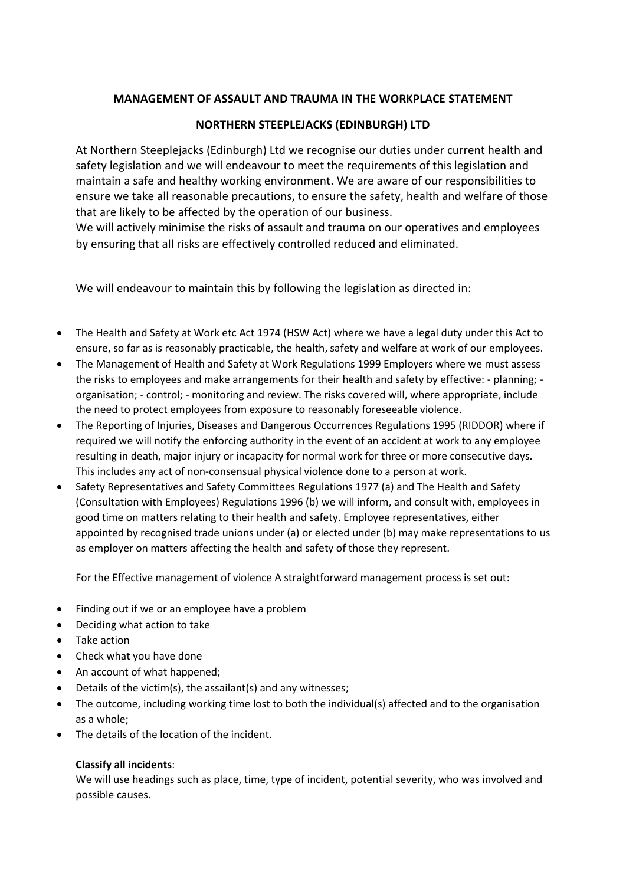## **MANAGEMENT OF ASSAULT AND TRAUMA IN THE WORKPLACE STATEMENT**

## **NORTHERN STEEPLEJACKS (EDINBURGH) LTD**

At Northern Steeplejacks (Edinburgh) Ltd we recognise our duties under current health and safety legislation and we will endeavour to meet the requirements of this legislation and maintain a safe and healthy working environment. We are aware of our responsibilities to ensure we take all reasonable precautions, to ensure the safety, health and welfare of those that are likely to be affected by the operation of our business.

We will actively minimise the risks of assault and trauma on our operatives and employees by ensuring that all risks are effectively controlled reduced and eliminated.

We will endeavour to maintain this by following the legislation as directed in:

- The Health and Safety at Work etc Act 1974 (HSW Act) where we have a legal duty under this Act to ensure, so far as is reasonably practicable, the health, safety and welfare at work of our employees.
- The Management of Health and Safety at Work Regulations 1999 Employers where we must assess the risks to employees and make arrangements for their health and safety by effective: - planning; organisation; - control; - monitoring and review. The risks covered will, where appropriate, include the need to protect employees from exposure to reasonably foreseeable violence.
- The Reporting of Injuries, Diseases and Dangerous Occurrences Regulations 1995 (RIDDOR) where if required we will notify the enforcing authority in the event of an accident at work to any employee resulting in death, major injury or incapacity for normal work for three or more consecutive days. This includes any act of non-consensual physical violence done to a person at work.
- Safety Representatives and Safety Committees Regulations 1977 (a) and The Health and Safety (Consultation with Employees) Regulations 1996 (b) we will inform, and consult with, employees in good time on matters relating to their health and safety. Employee representatives, either appointed by recognised trade unions under (a) or elected under (b) may make representations to us as employer on matters affecting the health and safety of those they represent.

For the Effective management of violence A straightforward management process is set out:

- Finding out if we or an employee have a problem
- Deciding what action to take
- Take action
- Check what you have done
- An account of what happened;
- Details of the victim(s), the assailant(s) and any witnesses;
- The outcome, including working time lost to both the individual(s) affected and to the organisation as a whole;
- The details of the location of the incident.

## **Classify all incidents**:

We will use headings such as place, time, type of incident, potential severity, who was involved and possible causes.